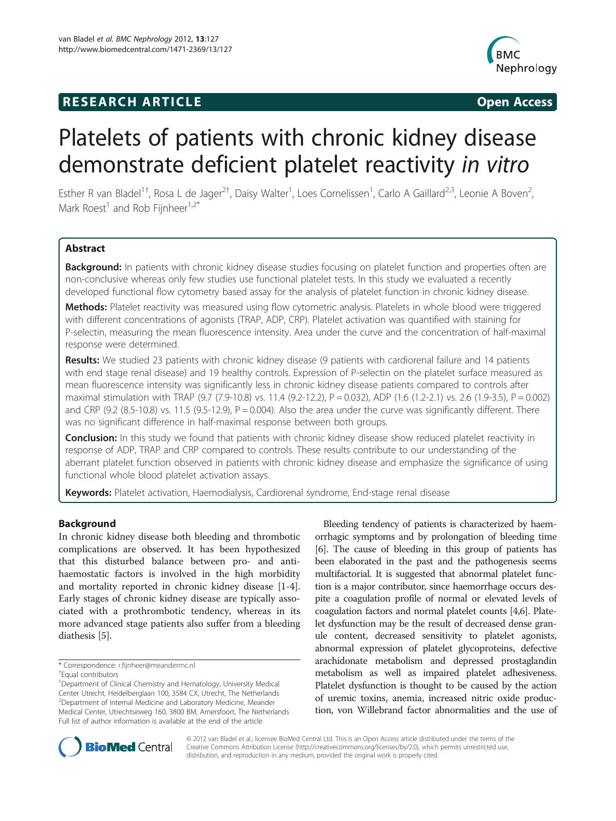## **RESEARCH ARTICLE Example 2014 CONSIDERING CONSIDERING CONSIDERING CONSIDERING CONSIDERING CONSIDERING CONSIDERING CONSIDERING CONSIDERING CONSIDERING CONSIDERING CONSIDERING CONSIDERING CONSIDERING CONSIDERING CONSIDE**



# Platelets of patients with chronic kidney disease demonstrate deficient platelet reactivity in vitro

Esther R van Bladel<sup>1†</sup>, Rosa L de Jager<sup>2†</sup>, Daisy Walter<sup>1</sup>, Loes Cornelissen<sup>1</sup>, Carlo A Gaillard<sup>2,3</sup>, Leonie A Boven<sup>2</sup> , Mark Roest<sup>1</sup> and Rob Fijnheer<sup>1,2\*</sup>

## **Abstract**

Background: In patients with chronic kidney disease studies focusing on platelet function and properties often are non-conclusive whereas only few studies use functional platelet tests. In this study we evaluated a recently developed functional flow cytometry based assay for the analysis of platelet function in chronic kidney disease.

Methods: Platelet reactivity was measured using flow cytometric analysis. Platelets in whole blood were triggered with different concentrations of agonists (TRAP, ADP, CRP). Platelet activation was quantified with staining for P-selectin, measuring the mean fluorescence intensity. Area under the curve and the concentration of half-maximal response were determined.

Results: We studied 23 patients with chronic kidney disease (9 patients with cardiorenal failure and 14 patients with end stage renal disease) and 19 healthy controls. Expression of P-selectin on the platelet surface measured as mean fluorescence intensity was significantly less in chronic kidney disease patients compared to controls after maximal stimulation with TRAP (9.7 (7.9-10.8) vs. 11.4 (9.2-12.2), P = 0.032), ADP (1.6 (1.2-2.1) vs. 2.6 (1.9-3.5), P = 0.002) and CRP (9.2 (8.5-10.8) vs. 11.5 (9.5-12.9),  $P = 0.004$ ). Also the area under the curve was significantly different. There was no significant difference in half-maximal response between both groups.

**Conclusion:** In this study we found that patients with chronic kidney disease show reduced platelet reactivity in response of ADP, TRAP and CRP compared to controls. These results contribute to our understanding of the aberrant platelet function observed in patients with chronic kidney disease and emphasize the significance of using functional whole blood platelet activation assays.

Keywords: Platelet activation, Haemodialysis, Cardiorenal syndrome, End-stage renal disease

## Background

In chronic kidney disease both bleeding and thrombotic complications are observed. It has been hypothesized that this disturbed balance between pro- and antihaemostatic factors is involved in the high morbidity and mortality reported in chronic kidney disease [[1-4](#page-5-0)]. Early stages of chronic kidney disease are typically associated with a prothrombotic tendency, whereas in its more advanced stage patients also suffer from a bleeding diathesis [[5\]](#page-5-0).

<sup>1</sup>Department of Clinical Chemistry and Hematology, University Medical Center Utrecht, Heidelberglaan 100, 3584 CX, Utrecht, The Netherlands 2 Department of Internal Medicine and Laboratory Medicine, Meander Medical Center, Utrechtseweg 160, 3800 BM, Amersfoort, The Netherlands Full list of author information is available at the end of the article

Bleeding tendency of patients is characterized by haemorrhagic symptoms and by prolongation of bleeding time [[6](#page-5-0)]. The cause of bleeding in this group of patients has been elaborated in the past and the pathogenesis seems multifactorial. It is suggested that abnormal platelet function is a major contributor, since haemorrhage occurs despite a coagulation profile of normal or elevated levels of coagulation factors and normal platelet counts [\[4,6\]](#page-5-0). Platelet dysfunction may be the result of decreased dense granule content, decreased sensitivity to platelet agonists, abnormal expression of platelet glycoproteins, defective arachidonate metabolism and depressed prostaglandin metabolism as well as impaired platelet adhesiveness. Platelet dysfunction is thought to be caused by the action of uremic toxins, anemia, increased nitric oxide production, von Willebrand factor abnormalities and the use of



© 2012 van Bladel et al.; licensee BioMed Central Ltd. This is an Open Access article distributed under the terms of the Creative Commons Attribution License (<http://creativecommons.org/licenses/by/2.0>), which permits unrestricted use, distribution, and reproduction in any medium, provided the original work is properly cited.

<sup>\*</sup> Correspondence: [r.fijnheer@meandermc.nl](mailto:r.fijnheer@meandermc.nl) †

Equal contributors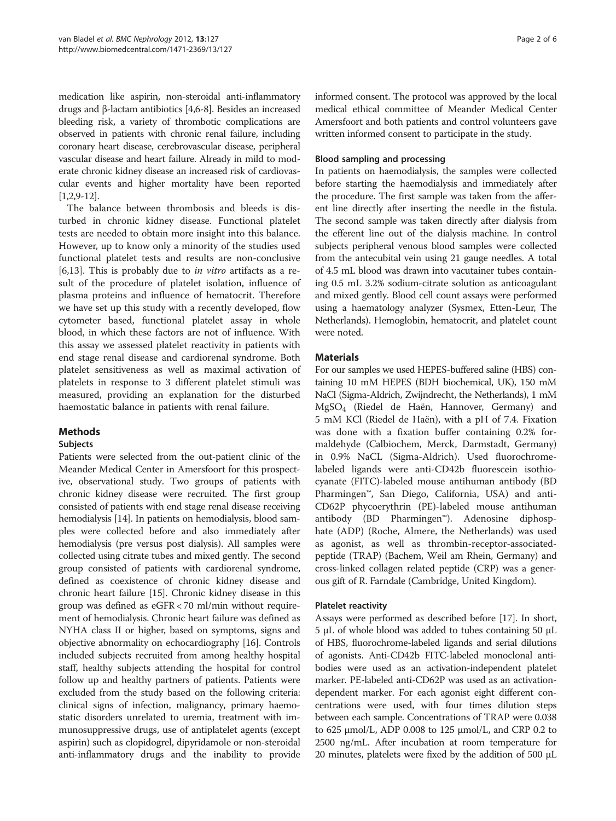medication like aspirin, non-steroidal anti-inflammatory drugs and β-lactam antibiotics [\[4,6-8\]](#page-5-0). Besides an increased bleeding risk, a variety of thrombotic complications are observed in patients with chronic renal failure, including coronary heart disease, cerebrovascular disease, peripheral vascular disease and heart failure. Already in mild to moderate chronic kidney disease an increased risk of cardiovascular events and higher mortality have been reported [[1,2,9-12\]](#page-5-0).

The balance between thrombosis and bleeds is disturbed in chronic kidney disease. Functional platelet tests are needed to obtain more insight into this balance. However, up to know only a minority of the studies used functional platelet tests and results are non-conclusive [[6,13\]](#page-5-0). This is probably due to *in vitro* artifacts as a result of the procedure of platelet isolation, influence of plasma proteins and influence of hematocrit. Therefore we have set up this study with a recently developed, flow cytometer based, functional platelet assay in whole blood, in which these factors are not of influence. With this assay we assessed platelet reactivity in patients with end stage renal disease and cardiorenal syndrome. Both platelet sensitiveness as well as maximal activation of platelets in response to 3 different platelet stimuli was measured, providing an explanation for the disturbed haemostatic balance in patients with renal failure.

## Methods

## Subjects

Patients were selected from the out-patient clinic of the Meander Medical Center in Amersfoort for this prospective, observational study. Two groups of patients with chronic kidney disease were recruited. The first group consisted of patients with end stage renal disease receiving hemodialysis [[14](#page-5-0)]. In patients on hemodialysis, blood samples were collected before and also immediately after hemodialysis (pre versus post dialysis). All samples were collected using citrate tubes and mixed gently. The second group consisted of patients with cardiorenal syndrome, defined as coexistence of chronic kidney disease and chronic heart failure [\[15\]](#page-5-0). Chronic kidney disease in this group was defined as eGFR < 70 ml/min without requirement of hemodialysis. Chronic heart failure was defined as NYHA class II or higher, based on symptoms, signs and objective abnormality on echocardiography [[16](#page-5-0)]. Controls included subjects recruited from among healthy hospital staff, healthy subjects attending the hospital for control follow up and healthy partners of patients. Patients were excluded from the study based on the following criteria: clinical signs of infection, malignancy, primary haemostatic disorders unrelated to uremia, treatment with immunosuppressive drugs, use of antiplatelet agents (except aspirin) such as clopidogrel, dipyridamole or non-steroidal anti-inflammatory drugs and the inability to provide informed consent. The protocol was approved by the local medical ethical committee of Meander Medical Center Amersfoort and both patients and control volunteers gave written informed consent to participate in the study.

## Blood sampling and processing

In patients on haemodialysis, the samples were collected before starting the haemodialysis and immediately after the procedure. The first sample was taken from the afferent line directly after inserting the needle in the fistula. The second sample was taken directly after dialysis from the efferent line out of the dialysis machine. In control subjects peripheral venous blood samples were collected from the antecubital vein using 21 gauge needles. A total of 4.5 mL blood was drawn into vacutainer tubes containing 0.5 mL 3.2% sodium-citrate solution as anticoagulant and mixed gently. Blood cell count assays were performed using a haematology analyzer (Sysmex, Etten-Leur, The Netherlands). Hemoglobin, hematocrit, and platelet count were noted.

## **Materials**

For our samples we used HEPES-buffered saline (HBS) containing 10 mM HEPES (BDH biochemical, UK), 150 mM NaCl (Sigma-Aldrich, Zwijndrecht, the Netherlands), 1 mM MgSO4 (Riedel de Haën, Hannover, Germany) and 5 mM KCl (Riedel de Haën), with a pH of 7.4. Fixation was done with a fixation buffer containing 0.2% formaldehyde (Calbiochem, Merck, Darmstadt, Germany) in 0.9% NaCL (Sigma-Aldrich). Used fluorochromelabeled ligands were anti-CD42b fluorescein isothiocyanate (FITC)-labeled mouse antihuman antibody (BD Pharmingen™, San Diego, California, USA) and anti-CD62P phycoerythrin (PE)-labeled mouse antihuman antibody (BD Pharmingen™). Adenosine diphosphate (ADP) (Roche, Almere, the Netherlands) was used as agonist, as well as thrombin-receptor-associatedpeptide (TRAP) (Bachem, Weil am Rhein, Germany) and cross-linked collagen related peptide (CRP) was a generous gift of R. Farndale (Cambridge, United Kingdom).

## Platelet reactivity

Assays were performed as described before [\[17](#page-5-0)]. In short, 5 μL of whole blood was added to tubes containing 50 μL of HBS, fluorochrome-labeled ligands and serial dilutions of agonists. Anti-CD42b FITC-labeled monoclonal antibodies were used as an activation-independent platelet marker. PE-labeled anti-CD62P was used as an activationdependent marker. For each agonist eight different concentrations were used, with four times dilution steps between each sample. Concentrations of TRAP were 0.038 to 625 μmol/L, ADP 0.008 to 125 μmol/L, and CRP 0.2 to 2500 ng/mL. After incubation at room temperature for 20 minutes, platelets were fixed by the addition of 500 μL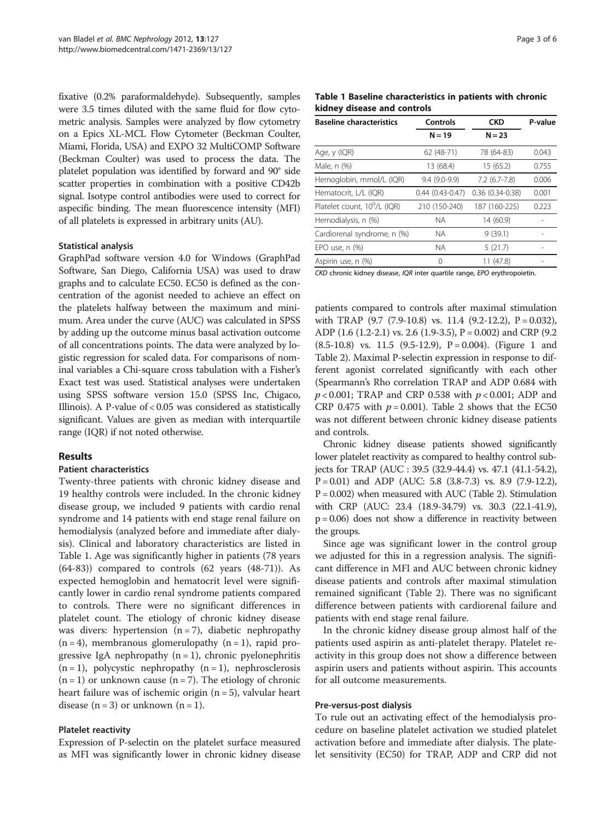fixative (0.2% paraformaldehyde). Subsequently, samples were 3.5 times diluted with the same fluid for flow cytometric analysis. Samples were analyzed by flow cytometry on a Epics XL-MCL Flow Cytometer (Beckman Coulter, Miami, Florida, USA) and EXPO 32 MultiCOMP Software (Beckman Coulter) was used to process the data. The platelet population was identified by forward and 90° side scatter properties in combination with a positive CD42b signal. Isotype control antibodies were used to correct for aspecific binding. The mean fluorescence intensity (MFI) of all platelets is expressed in arbitrary units (AU).

#### Statistical analysis

GraphPad software version 4.0 for Windows (GraphPad Software, San Diego, California USA) was used to draw graphs and to calculate EC50. EC50 is defined as the concentration of the agonist needed to achieve an effect on the platelets halfway between the maximum and minimum. Area under the curve (AUC) was calculated in SPSS by adding up the outcome minus basal activation outcome of all concentrations points. The data were analyzed by logistic regression for scaled data. For comparisons of nominal variables a Chi-square cross tabulation with a Fisher's Exact test was used. Statistical analyses were undertaken using SPSS software version 15.0 (SPSS Inc, Chigaco, Illinois). A P-value of  $< 0.05$  was considered as statistically significant. Values are given as median with interquartile range (IQR) if not noted otherwise.

#### Results

#### Patient characteristics

Twenty-three patients with chronic kidney disease and 19 healthy controls were included. In the chronic kidney disease group, we included 9 patients with cardio renal syndrome and 14 patients with end stage renal failure on hemodialysis (analyzed before and immediate after dialysis). Clinical and laboratory characteristics are listed in Table 1. Age was significantly higher in patients (78 years (64-83)) compared to controls (62 years (48-71)). As expected hemoglobin and hematocrit level were significantly lower in cardio renal syndrome patients compared to controls. There were no significant differences in platelet count. The etiology of chronic kidney disease was divers: hypertension  $(n=7)$ , diabetic nephropathy  $(n = 4)$ , membranous glomerulopathy  $(n = 1)$ , rapid progressive IgA nephropathy  $(n = 1)$ , chronic pyelonephritis  $(n = 1)$ , polycystic nephropathy  $(n = 1)$ , nephrosclerosis  $(n = 1)$  or unknown cause  $(n = 7)$ . The etiology of chronic heart failure was of ischemic origin  $(n = 5)$ , valvular heart disease  $(n = 3)$  or unknown  $(n = 1)$ .

#### Platelet reactivity

Expression of P-selectin on the platelet surface measured as MFI was significantly lower in chronic kidney disease

Table 1 Baseline characteristics in patients with chronic kidney disease and controls

| <b>Baseline characteristics</b>                             | Controls            | <b>CKD</b>        | P-value |
|-------------------------------------------------------------|---------------------|-------------------|---------|
|                                                             | $N = 19$            | $N = 23$          |         |
| Age, y (IQR)                                                | 62 (48-71)          | 78 (64-83)        | 0.043   |
| Male, n (%)                                                 | 13 (68.4)           | 15 (65.2)         | 0.755   |
| Hemoglobin, mmol/L (IQR)                                    | 9.4 (9.0-9.9)       | $7.2$ (6.7-7.8)   | 0.006   |
| Hematocrit, L/L (IQR)                                       | $0.44(0.43 - 0.47)$ | $0.36(0.34-0.38)$ | 0.001   |
| Platelet count, 10 <sup>9</sup> /L (IQR)                    | 210 (150-240)       | 187 (160-225)     | 0.223   |
| Hemodialysis, n (%)                                         | <b>NA</b>           | 14 (60.9)         |         |
| Cardiorenal syndrome, n (%)                                 | <b>NA</b>           | 9(39.1)           |         |
| EPO use, $n$ $(\%)$                                         | <b>NA</b>           | 5(21.7)           |         |
| Aspirin use, n (%)                                          | 0                   | 11 (47.8)         |         |
| $CVD$ absents bidges: discose $IOD$ integers and the second |                     | $FDA = 4$         |         |

CKD chronic kidney disease, IQR inter quartile range, EPO erythropoietin.

patients compared to controls after maximal stimulation with TRAP (9.7 (7.9-10.8) vs. 11.4 (9.2-12.2), P = 0.032), ADP (1.6 (1.2-2.1) vs. 2.6 (1.9-3.5), P = 0.002) and CRP (9.2  $(8.5-10.8)$  vs. [1](#page-3-0)1.5  $(9.5-12.9)$ ,  $P = 0.004$ ). (Figure 1 and Table [2\)](#page-3-0). Maximal P-selectin expression in response to different agonist correlated significantly with each other (Spearmann's Rho correlation TRAP and ADP 0.684 with  $p < 0.001$ ; TRAP and CRP 0.538 with  $p < 0.001$ ; ADP and CRP 0.475 with  $p = 0.001$ ). Table [2](#page-3-0) shows that the EC50 was not different between chronic kidney disease patients and controls.

Chronic kidney disease patients showed significantly lower platelet reactivity as compared to healthy control subjects for TRAP (AUC : 39.5 (32.9-44.4) vs. 47.1 (41.1-54.2), P = 0.01) and ADP (AUC: 5.8 (3.8-7.3) vs. 8.9 (7.9-12.2),  $P = 0.002$ ) when measured with AUC (Table [2](#page-3-0)). Stimulation with CRP (AUC: 23.4 (18.9-34.79) vs. 30.3 (22.1-41.9),  $p = 0.06$ ) does not show a difference in reactivity between the groups.

Since age was significant lower in the control group we adjusted for this in a regression analysis. The significant difference in MFI and AUC between chronic kidney disease patients and controls after maximal stimulation remained significant (Table [2](#page-3-0)). There was no significant difference between patients with cardiorenal failure and patients with end stage renal failure.

In the chronic kidney disease group almost half of the patients used aspirin as anti-platelet therapy. Platelet reactivity in this group does not show a difference between aspirin users and patients without aspirin. This accounts for all outcome measurements.

#### Pre-versus-post dialysis

To rule out an activating effect of the hemodialysis procedure on baseline platelet activation we studied platelet activation before and immediate after dialysis. The platelet sensitivity (EC50) for TRAP, ADP and CRP did not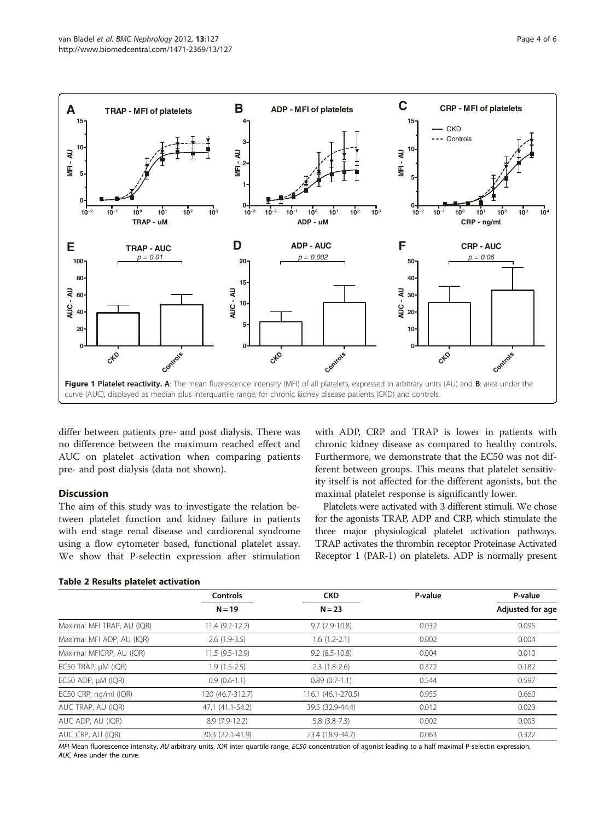<span id="page-3-0"></span>

differ between patients pre- and post dialysis. There was no difference between the maximum reached effect and AUC on platelet activation when comparing patients pre- and post dialysis (data not shown).

## **Discussion**

The aim of this study was to investigate the relation between platelet function and kidney failure in patients with end stage renal disease and cardiorenal syndrome using a flow cytometer based, functional platelet assay. We show that P-selectin expression after stimulation

with ADP, CRP and TRAP is lower in patients with chronic kidney disease as compared to healthy controls. Furthermore, we demonstrate that the EC50 was not different between groups. This means that platelet sensitivity itself is not affected for the different agonists, but the maximal platelet response is significantly lower.

Platelets were activated with 3 different stimuli. We chose for the agonists TRAP, ADP and CRP, which stimulate the three major physiological platelet activation pathways. TRAP activates the thrombin receptor Proteinase Activated Receptor 1 (PAR-1) on platelets. ADP is normally present

|                            | <b>Controls</b><br>$N = 19$ | <b>CKD</b><br>$N = 23$ | P-value | P-value<br>Adjusted for age |
|----------------------------|-----------------------------|------------------------|---------|-----------------------------|
|                            |                             |                        |         |                             |
| Maximal MFI TRAP, AU (IQR) | 11.4 (9.2-12.2)             | $9.7(7.9-10.8)$        | 0.032   | 0.095                       |
| Maximal MFI ADP, AU (IQR)  | $2.6(1.9-3.5)$              | $1.6(1.2-2.1)$         | 0.002   | 0.004                       |
| Maximal MFICRP, AU (IQR)   | $11.5(9.5-12.9)$            | $9.2$ (8.5-10.8)       | 0.004   | 0.010                       |
| EC50 TRAP, $\mu$ M (IQR)   | $1.9(1.5-2.5)$              | $2.3(1.8-2.6)$         | 0.372   | 0.182                       |
| EC50 ADP, µM (IQR)         | $0.9(0.6-1.1)$              | $0.89(0.7-1.1)$        | 0.544   | 0.597                       |
| EC50 CRP, ng/ml (IQR)      | 120 (46.7-312.7)            | 116.1 (46.1-270.5)     | 0.955   | 0.660                       |
| AUC TRAP, AU (IQR)         | 47.1 (41.1-54.2)            | 39.5 (32.9-44.4)       | 0.012   | 0.023                       |
| AUC ADP, AU (IQR)          | 8.9 (7.9-12.2)              | $5.8(3.8-7.3)$         | 0.002   | 0.003                       |
| AUC CRP, AU (IQR)          | 30.3 (22.1-41.9)            | 23.4 (18.9-34.7)       | 0.063   | 0.322                       |

MFI Mean fluorescence intensity, AU arbitrary units, IQR inter quartile range, EC50 concentration of agonist leading to a half maximal P-selectin expression, AUC Area under the curve.

## Table 2 Results platelet activation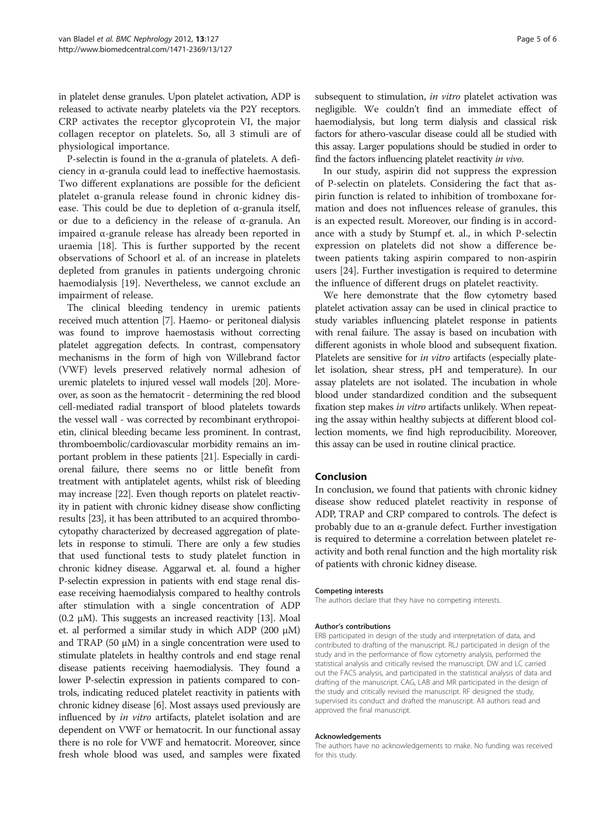in platelet dense granules. Upon platelet activation, ADP is released to activate nearby platelets via the P2Y receptors. CRP activates the receptor glycoprotein VI, the major collagen receptor on platelets. So, all 3 stimuli are of physiological importance.

P-selectin is found in the  $\alpha$ -granula of platelets. A deficiency in α-granula could lead to ineffective haemostasis. Two different explanations are possible for the deficient platelet α-granula release found in chronic kidney disease. This could be due to depletion of α-granula itself, or due to a deficiency in the release of α-granula. An impaired α-granule release has already been reported in uraemia [[18\]](#page-5-0). This is further supported by the recent observations of Schoorl et al. of an increase in platelets depleted from granules in patients undergoing chronic haemodialysis [[19](#page-5-0)]. Nevertheless, we cannot exclude an impairment of release.

The clinical bleeding tendency in uremic patients received much attention [[7](#page-5-0)]. Haemo- or peritoneal dialysis was found to improve haemostasis without correcting platelet aggregation defects. In contrast, compensatory mechanisms in the form of high von Willebrand factor (VWF) levels preserved relatively normal adhesion of uremic platelets to injured vessel wall models [\[20\]](#page-5-0). Moreover, as soon as the hematocrit - determining the red blood cell-mediated radial transport of blood platelets towards the vessel wall - was corrected by recombinant erythropoietin, clinical bleeding became less prominent. In contrast, thromboembolic/cardiovascular morbidity remains an important problem in these patients [\[21\]](#page-5-0). Especially in cardiorenal failure, there seems no or little benefit from treatment with antiplatelet agents, whilst risk of bleeding may increase [\[22\]](#page-5-0). Even though reports on platelet reactivity in patient with chronic kidney disease show conflicting results [\[23\]](#page-5-0), it has been attributed to an acquired thrombocytopathy characterized by decreased aggregation of platelets in response to stimuli. There are only a few studies that used functional tests to study platelet function in chronic kidney disease. Aggarwal et. al. found a higher P-selectin expression in patients with end stage renal disease receiving haemodialysis compared to healthy controls after stimulation with a single concentration of ADP  $(0.2 \mu M)$ . This suggests an increased reactivity [[13](#page-5-0)]. Moal et. al performed a similar study in which ADP (200 μM) and TRAP (50 μM) in a single concentration were used to stimulate platelets in healthy controls and end stage renal disease patients receiving haemodialysis. They found a lower P-selectin expression in patients compared to controls, indicating reduced platelet reactivity in patients with chronic kidney disease [\[6](#page-5-0)]. Most assays used previously are influenced by *in vitro* artifacts, platelet isolation and are dependent on VWF or hematocrit. In our functional assay there is no role for VWF and hematocrit. Moreover, since fresh whole blood was used, and samples were fixated subsequent to stimulation, in vitro platelet activation was negligible. We couldn't find an immediate effect of haemodialysis, but long term dialysis and classical risk factors for athero-vascular disease could all be studied with this assay. Larger populations should be studied in order to find the factors influencing platelet reactivity in vivo.

In our study, aspirin did not suppress the expression of P-selectin on platelets. Considering the fact that aspirin function is related to inhibition of tromboxane formation and does not influences release of granules, this is an expected result. Moreover, our finding is in accordance with a study by Stumpf et. al., in which P-selectin expression on platelets did not show a difference between patients taking aspirin compared to non-aspirin users [[24\]](#page-5-0). Further investigation is required to determine the influence of different drugs on platelet reactivity.

We here demonstrate that the flow cytometry based platelet activation assay can be used in clinical practice to study variables influencing platelet response in patients with renal failure. The assay is based on incubation with different agonists in whole blood and subsequent fixation. Platelets are sensitive for *in vitro* artifacts (especially platelet isolation, shear stress, pH and temperature). In our assay platelets are not isolated. The incubation in whole blood under standardized condition and the subsequent fixation step makes in vitro artifacts unlikely. When repeating the assay within healthy subjects at different blood collection moments, we find high reproducibility. Moreover, this assay can be used in routine clinical practice.

#### Conclusion

In conclusion, we found that patients with chronic kidney disease show reduced platelet reactivity in response of ADP, TRAP and CRP compared to controls. The defect is probably due to an α-granule defect. Further investigation is required to determine a correlation between platelet reactivity and both renal function and the high mortality risk of patients with chronic kidney disease.

#### Competing interests

The authors declare that they have no competing interests.

#### Author's contributions

ERB participated in design of the study and interpretation of data, and contributed to drafting of the manuscript. RLJ participated in design of the study and in the performance of flow cytometry analysis, performed the statistical analysis and critically revised the manuscript. DW and LC carried out the FACS analysis, and participated in the statistical analysis of data and drafting of the manuscript. CAG, LAB and MR participated in the design of the study and critically revised the manuscript. RF designed the study, supervised its conduct and drafted the manuscript. All authors read and approved the final manuscript.

#### Acknowledgements

The authors have no acknowledgements to make. No funding was received for this study.